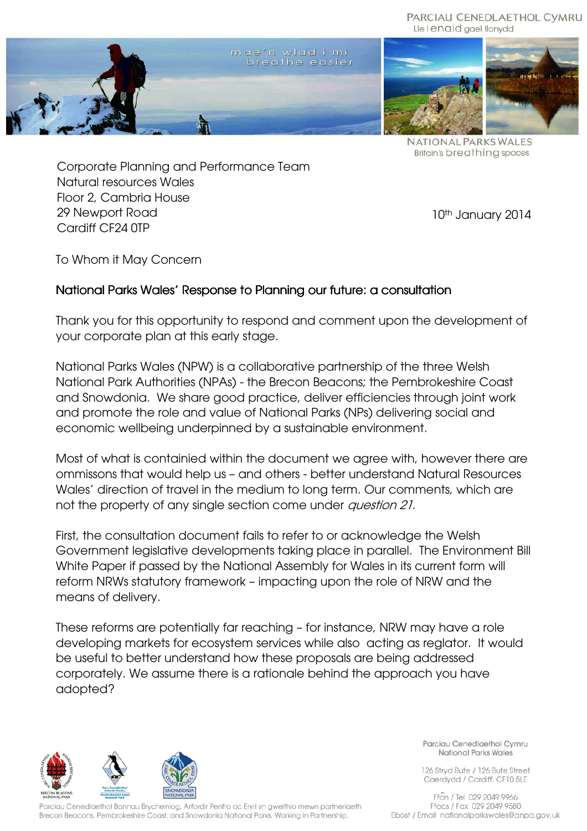## PARCIAU CENEDLAETHOL CYMRU Lle i enaid gael llonydd



NATIONAL PARKS WALES **Britain's breathing spaces** 

Corporate Planning and Performance Team Natural resources Wales Floor 2, Cambria House 29 Newport Road Cardiff CF24 0TP

10<sup>th</sup> January 2014

To Whom it May Concern

## National Parks Wales' Response to Planning our future: a consultation

Thank you for this opportunity to respond and comment upon the development of your corporate plan at this early stage.

National Parks Wales (NPW) is a collaborative partnership of the three Welsh National Park Authorities (NPAs) - the Brecon Beacons; the Pembrokeshire Coast and Snowdonia. We share good practice, deliver efficiencies through joint work and promote the role and value of National Parks (NPs) delivering social and economic wellbeing underpinned by a sustainable environment.

Most of what is containied within the document we agree with, however there are ommissons that would help us – and others - better understand Natural Resources Wales' direction of travel in the medium to long term. Our comments, which are not the property of any single section come under question 21.

First, the consultation document fails to refer to or acknowledge the Welsh Government legislative developments taking place in parallel. The Environment Bill White Paper if passed by the National Assembly for Wales in its current form will reform NRWs statutory framework – impacting upon the role of NRW and the means of delivery.

These reforms are potentially far reaching – for instance, NRW may have a role developing markets for ecosystem services while also acting as reglator. It would be useful to better understand how these proposals are being addressed corporately. We assume there is a rationale behind the approach you have adopted?



Parciau Cenedlaethol Bannau Brycheiniog, Arfordir Penfro ac Eryri yn gweithio mewn partneriaeth Brecon Beacons, Pembrokeshire Coast, and Snowdonia National Parks. Working in Partnership.

Parciau Cenedlaethol Cymru National Parks Wales

126 Stryd Bute / 126 Bute Street Caerdydd / Cardiff, CF10 5LE

Ffon / Tel 029 2049 9966 Ffacs / Fax 029 2049 9580 Ebost / Email nationalparkswales@anpa.gov.uk